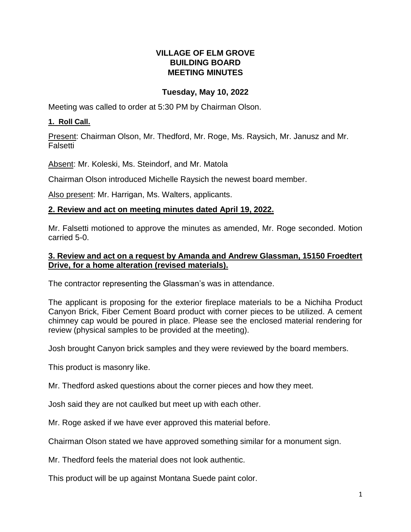## **VILLAGE OF ELM GROVE BUILDING BOARD MEETING MINUTES**

# **Tuesday, May 10, 2022**

Meeting was called to order at 5:30 PM by Chairman Olson.

# **1. Roll Call.**

Present: Chairman Olson, Mr. Thedford, Mr. Roge, Ms. Raysich, Mr. Janusz and Mr. Falsetti

Absent: Mr. Koleski, Ms. Steindorf, and Mr. Matola

Chairman Olson introduced Michelle Raysich the newest board member.

Also present: Mr. Harrigan, Ms. Walters, applicants.

## **2. Review and act on meeting minutes dated April 19, 2022.**

Mr. Falsetti motioned to approve the minutes as amended, Mr. Roge seconded. Motion carried 5-0.

### **3. Review and act on a request by Amanda and Andrew Glassman, 15150 Froedtert Drive, for a home alteration (revised materials).**

The contractor representing the Glassman's was in attendance.

The applicant is proposing for the exterior fireplace materials to be a Nichiha Product Canyon Brick, Fiber Cement Board product with corner pieces to be utilized. A cement chimney cap would be poured in place. Please see the enclosed material rendering for review (physical samples to be provided at the meeting).

Josh brought Canyon brick samples and they were reviewed by the board members.

This product is masonry like.

Mr. Thedford asked questions about the corner pieces and how they meet.

Josh said they are not caulked but meet up with each other.

Mr. Roge asked if we have ever approved this material before.

Chairman Olson stated we have approved something similar for a monument sign.

Mr. Thedford feels the material does not look authentic.

This product will be up against Montana Suede paint color.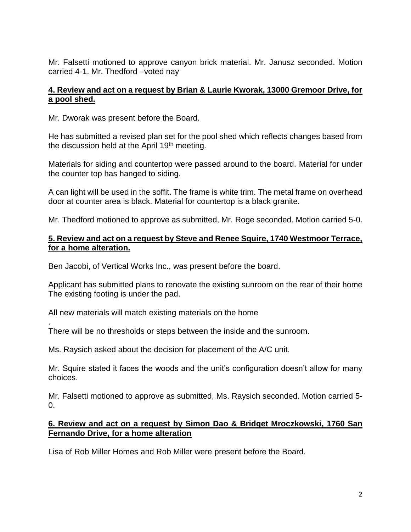Mr. Falsetti motioned to approve canyon brick material. Mr. Janusz seconded. Motion carried 4-1. Mr. Thedford –voted nay

## **4. Review and act on a request by Brian & Laurie Kworak, 13000 Gremoor Drive, for a pool shed.**

Mr. Dworak was present before the Board.

He has submitted a revised plan set for the pool shed which reflects changes based from the discussion held at the April 19<sup>th</sup> meeting.

Materials for siding and countertop were passed around to the board. Material for under the counter top has hanged to siding.

A can light will be used in the soffit. The frame is white trim. The metal frame on overhead door at counter area is black. Material for countertop is a black granite.

Mr. Thedford motioned to approve as submitted, Mr. Roge seconded. Motion carried 5-0.

#### **5. Review and act on a request by Steve and Renee Squire, 1740 Westmoor Terrace, for a home alteration.**

Ben Jacobi, of Vertical Works Inc., was present before the board.

Applicant has submitted plans to renovate the existing sunroom on the rear of their home The existing footing is under the pad.

All new materials will match existing materials on the home

.

There will be no thresholds or steps between the inside and the sunroom.

Ms. Raysich asked about the decision for placement of the A/C unit.

Mr. Squire stated it faces the woods and the unit's configuration doesn't allow for many choices.

Mr. Falsetti motioned to approve as submitted, Ms. Raysich seconded. Motion carried 5- 0.

### **6. Review and act on a request by Simon Dao & Bridget Mroczkowski, 1760 San Fernando Drive, for a home alteration**

Lisa of Rob Miller Homes and Rob Miller were present before the Board.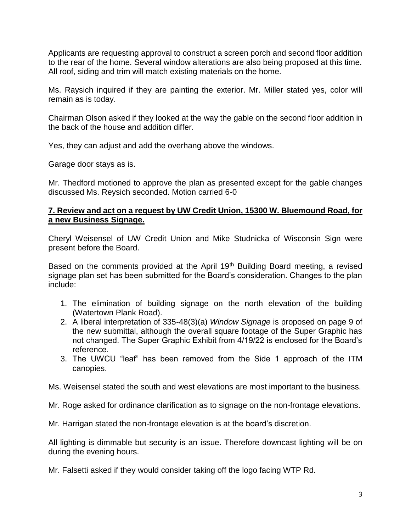Applicants are requesting approval to construct a screen porch and second floor addition to the rear of the home. Several window alterations are also being proposed at this time. All roof, siding and trim will match existing materials on the home.

Ms. Raysich inquired if they are painting the exterior. Mr. Miller stated yes, color will remain as is today.

Chairman Olson asked if they looked at the way the gable on the second floor addition in the back of the house and addition differ.

Yes, they can adjust and add the overhang above the windows.

Garage door stays as is.

Mr. Thedford motioned to approve the plan as presented except for the gable changes discussed Ms. Reysich seconded. Motion carried 6-0

### **7. Review and act on a request by UW Credit Union, 15300 W. Bluemound Road, for a new Business Signage.**

Cheryl Weisensel of UW Credit Union and Mike Studnicka of Wisconsin Sign were present before the Board.

Based on the comments provided at the April 19<sup>th</sup> Building Board meeting, a revised signage plan set has been submitted for the Board's consideration. Changes to the plan include:

- 1. The elimination of building signage on the north elevation of the building (Watertown Plank Road).
- 2. A liberal interpretation of 335-48(3)(a) *Window Signage* is proposed on page 9 of the new submittal, although the overall square footage of the Super Graphic has not changed. The Super Graphic Exhibit from 4/19/22 is enclosed for the Board's reference.
- 3. The UWCU "leaf" has been removed from the Side 1 approach of the ITM canopies.

Ms. Weisensel stated the south and west elevations are most important to the business.

Mr. Roge asked for ordinance clarification as to signage on the non-frontage elevations.

Mr. Harrigan stated the non-frontage elevation is at the board's discretion.

All lighting is dimmable but security is an issue. Therefore downcast lighting will be on during the evening hours.

Mr. Falsetti asked if they would consider taking off the logo facing WTP Rd.